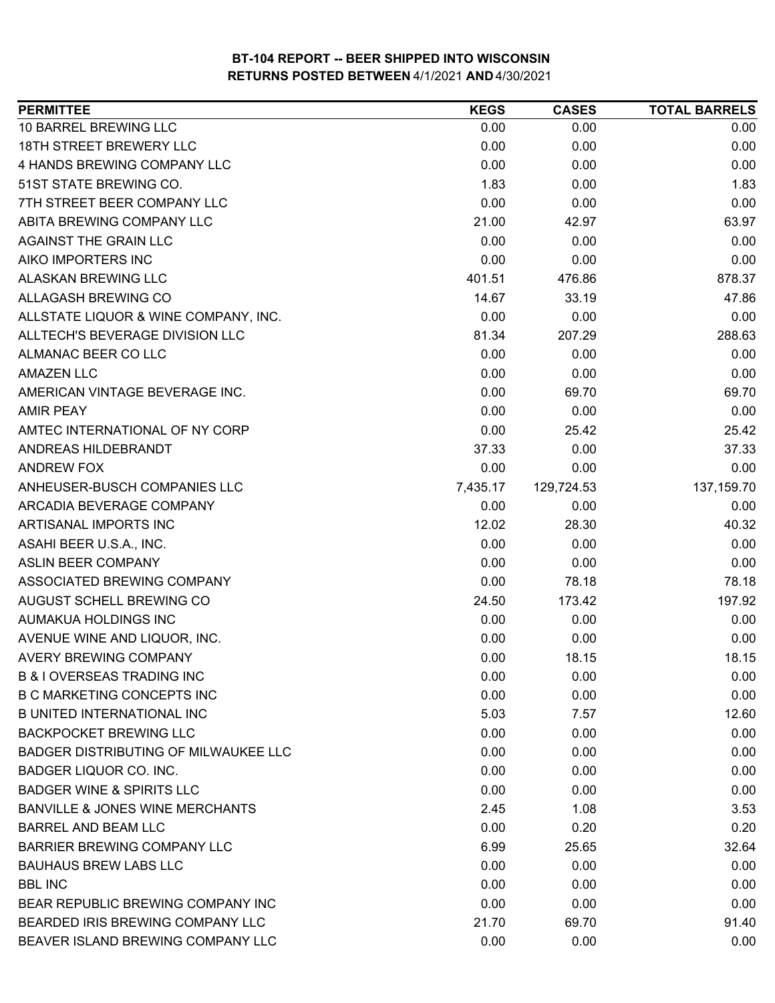| <b>PERMITTEE</b>                            | <b>KEGS</b> | <b>CASES</b> | <b>TOTAL BARRELS</b> |
|---------------------------------------------|-------------|--------------|----------------------|
| 10 BARREL BREWING LLC                       | 0.00        | 0.00         | 0.00                 |
| <b>18TH STREET BREWERY LLC</b>              | 0.00        | 0.00         | 0.00                 |
| 4 HANDS BREWING COMPANY LLC                 | 0.00        | 0.00         | 0.00                 |
| 51ST STATE BREWING CO.                      | 1.83        | 0.00         | 1.83                 |
| 7TH STREET BEER COMPANY LLC                 | 0.00        | 0.00         | 0.00                 |
| ABITA BREWING COMPANY LLC                   | 21.00       | 42.97        | 63.97                |
| AGAINST THE GRAIN LLC                       | 0.00        | 0.00         | 0.00                 |
| AIKO IMPORTERS INC                          | 0.00        | 0.00         | 0.00                 |
| <b>ALASKAN BREWING LLC</b>                  | 401.51      | 476.86       | 878.37               |
| ALLAGASH BREWING CO                         | 14.67       | 33.19        | 47.86                |
| ALLSTATE LIQUOR & WINE COMPANY, INC.        | 0.00        | 0.00         | 0.00                 |
| ALLTECH'S BEVERAGE DIVISION LLC             | 81.34       | 207.29       | 288.63               |
| ALMANAC BEER CO LLC                         | 0.00        | 0.00         | 0.00                 |
| <b>AMAZEN LLC</b>                           | 0.00        | 0.00         | 0.00                 |
| AMERICAN VINTAGE BEVERAGE INC.              | 0.00        | 69.70        | 69.70                |
| <b>AMIR PEAY</b>                            | 0.00        | 0.00         | 0.00                 |
| AMTEC INTERNATIONAL OF NY CORP              | 0.00        | 25.42        | 25.42                |
| ANDREAS HILDEBRANDT                         | 37.33       | 0.00         | 37.33                |
| <b>ANDREW FOX</b>                           | 0.00        | 0.00         | 0.00                 |
| ANHEUSER-BUSCH COMPANIES LLC                | 7,435.17    | 129,724.53   | 137,159.70           |
| ARCADIA BEVERAGE COMPANY                    | 0.00        | 0.00         | 0.00                 |
| ARTISANAL IMPORTS INC                       | 12.02       | 28.30        | 40.32                |
| ASAHI BEER U.S.A., INC.                     | 0.00        | 0.00         | 0.00                 |
| <b>ASLIN BEER COMPANY</b>                   | 0.00        | 0.00         | 0.00                 |
| ASSOCIATED BREWING COMPANY                  | 0.00        | 78.18        | 78.18                |
| AUGUST SCHELL BREWING CO                    | 24.50       | 173.42       | 197.92               |
| AUMAKUA HOLDINGS INC                        | 0.00        | 0.00         | 0.00                 |
| AVENUE WINE AND LIQUOR, INC.                | 0.00        | 0.00         | 0.00                 |
| <b>AVERY BREWING COMPANY</b>                | 0.00        | 18.15        | 18.15                |
| <b>B &amp; I OVERSEAS TRADING INC</b>       | 0.00        | 0.00         | 0.00                 |
| <b>B C MARKETING CONCEPTS INC</b>           | 0.00        | 0.00         | 0.00                 |
| <b>B UNITED INTERNATIONAL INC</b>           | 5.03        | 7.57         | 12.60                |
| <b>BACKPOCKET BREWING LLC</b>               | 0.00        | 0.00         | 0.00                 |
| <b>BADGER DISTRIBUTING OF MILWAUKEE LLC</b> | 0.00        | 0.00         | 0.00                 |
| BADGER LIQUOR CO. INC.                      | 0.00        | 0.00         | 0.00                 |
| <b>BADGER WINE &amp; SPIRITS LLC</b>        | 0.00        | 0.00         | 0.00                 |
| <b>BANVILLE &amp; JONES WINE MERCHANTS</b>  | 2.45        | 1.08         | 3.53                 |
| <b>BARREL AND BEAM LLC</b>                  | 0.00        | 0.20         | 0.20                 |
| BARRIER BREWING COMPANY LLC                 | 6.99        | 25.65        | 32.64                |
| <b>BAUHAUS BREW LABS LLC</b>                | 0.00        | 0.00         | 0.00                 |
| <b>BBL INC</b>                              | 0.00        | 0.00         | 0.00                 |
| BEAR REPUBLIC BREWING COMPANY INC           | 0.00        | 0.00         | 0.00                 |
| BEARDED IRIS BREWING COMPANY LLC            | 21.70       | 69.70        | 91.40                |
| BEAVER ISLAND BREWING COMPANY LLC           | 0.00        | 0.00         | 0.00                 |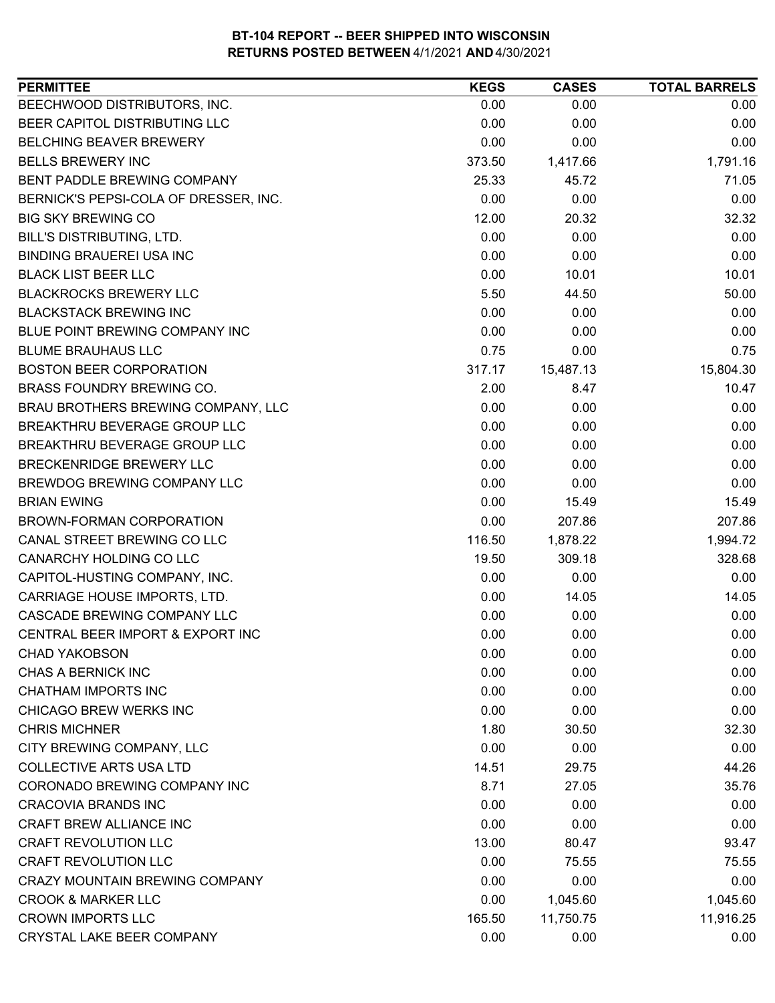| <b>PERMITTEE</b>                      | <b>KEGS</b> | <b>CASES</b> | <b>TOTAL BARRELS</b> |
|---------------------------------------|-------------|--------------|----------------------|
| BEECHWOOD DISTRIBUTORS, INC.          | 0.00        | 0.00         | 0.00                 |
| BEER CAPITOL DISTRIBUTING LLC         | 0.00        | 0.00         | 0.00                 |
| BELCHING BEAVER BREWERY               | 0.00        | 0.00         | 0.00                 |
| <b>BELLS BREWERY INC</b>              | 373.50      | 1,417.66     | 1,791.16             |
| BENT PADDLE BREWING COMPANY           | 25.33       | 45.72        | 71.05                |
| BERNICK'S PEPSI-COLA OF DRESSER, INC. | 0.00        | 0.00         | 0.00                 |
| <b>BIG SKY BREWING CO</b>             | 12.00       | 20.32        | 32.32                |
| <b>BILL'S DISTRIBUTING, LTD.</b>      | 0.00        | 0.00         | 0.00                 |
| <b>BINDING BRAUEREI USA INC</b>       | 0.00        | 0.00         | 0.00                 |
| <b>BLACK LIST BEER LLC</b>            | 0.00        | 10.01        | 10.01                |
| <b>BLACKROCKS BREWERY LLC</b>         | 5.50        | 44.50        | 50.00                |
| <b>BLACKSTACK BREWING INC</b>         | 0.00        | 0.00         | 0.00                 |
| BLUE POINT BREWING COMPANY INC        | 0.00        | 0.00         | 0.00                 |
| <b>BLUME BRAUHAUS LLC</b>             | 0.75        | 0.00         | 0.75                 |
| <b>BOSTON BEER CORPORATION</b>        | 317.17      | 15,487.13    | 15,804.30            |
| BRASS FOUNDRY BREWING CO.             | 2.00        | 8.47         | 10.47                |
| BRAU BROTHERS BREWING COMPANY, LLC    | 0.00        | 0.00         | 0.00                 |
| BREAKTHRU BEVERAGE GROUP LLC          | 0.00        | 0.00         | 0.00                 |
| BREAKTHRU BEVERAGE GROUP LLC          | 0.00        | 0.00         | 0.00                 |
| BRECKENRIDGE BREWERY LLC              | 0.00        | 0.00         | 0.00                 |
| BREWDOG BREWING COMPANY LLC           | 0.00        | 0.00         | 0.00                 |
| <b>BRIAN EWING</b>                    | 0.00        | 15.49        | 15.49                |
| BROWN-FORMAN CORPORATION              | 0.00        | 207.86       | 207.86               |
| CANAL STREET BREWING CO LLC           | 116.50      | 1,878.22     | 1,994.72             |
| CANARCHY HOLDING CO LLC               | 19.50       | 309.18       | 328.68               |
| CAPITOL-HUSTING COMPANY, INC.         | 0.00        | 0.00         | 0.00                 |
| CARRIAGE HOUSE IMPORTS, LTD.          | 0.00        | 14.05        | 14.05                |
| CASCADE BREWING COMPANY LLC           | 0.00        | 0.00         | 0.00                 |
| CENTRAL BEER IMPORT & EXPORT INC      | 0.00        | 0.00         | 0.00                 |
| <b>CHAD YAKOBSON</b>                  | 0.00        | 0.00         | 0.00                 |
| CHAS A BERNICK INC                    | 0.00        | 0.00         | 0.00                 |
| <b>CHATHAM IMPORTS INC</b>            | 0.00        | 0.00         | 0.00                 |
| CHICAGO BREW WERKS INC                | 0.00        | 0.00         | 0.00                 |
| <b>CHRIS MICHNER</b>                  | 1.80        | 30.50        | 32.30                |
| CITY BREWING COMPANY, LLC             | 0.00        | 0.00         | 0.00                 |
| <b>COLLECTIVE ARTS USA LTD</b>        | 14.51       | 29.75        | 44.26                |
| CORONADO BREWING COMPANY INC          | 8.71        | 27.05        | 35.76                |
| <b>CRACOVIA BRANDS INC</b>            | 0.00        | 0.00         | 0.00                 |
| CRAFT BREW ALLIANCE INC               | 0.00        | 0.00         | 0.00                 |
| <b>CRAFT REVOLUTION LLC</b>           | 13.00       | 80.47        | 93.47                |
| <b>CRAFT REVOLUTION LLC</b>           | 0.00        | 75.55        | 75.55                |
| <b>CRAZY MOUNTAIN BREWING COMPANY</b> | 0.00        | 0.00         | 0.00                 |
| <b>CROOK &amp; MARKER LLC</b>         | 0.00        | 1,045.60     | 1,045.60             |
| <b>CROWN IMPORTS LLC</b>              | 165.50      | 11,750.75    | 11,916.25            |
| CRYSTAL LAKE BEER COMPANY             | 0.00        | 0.00         | 0.00                 |
|                                       |             |              |                      |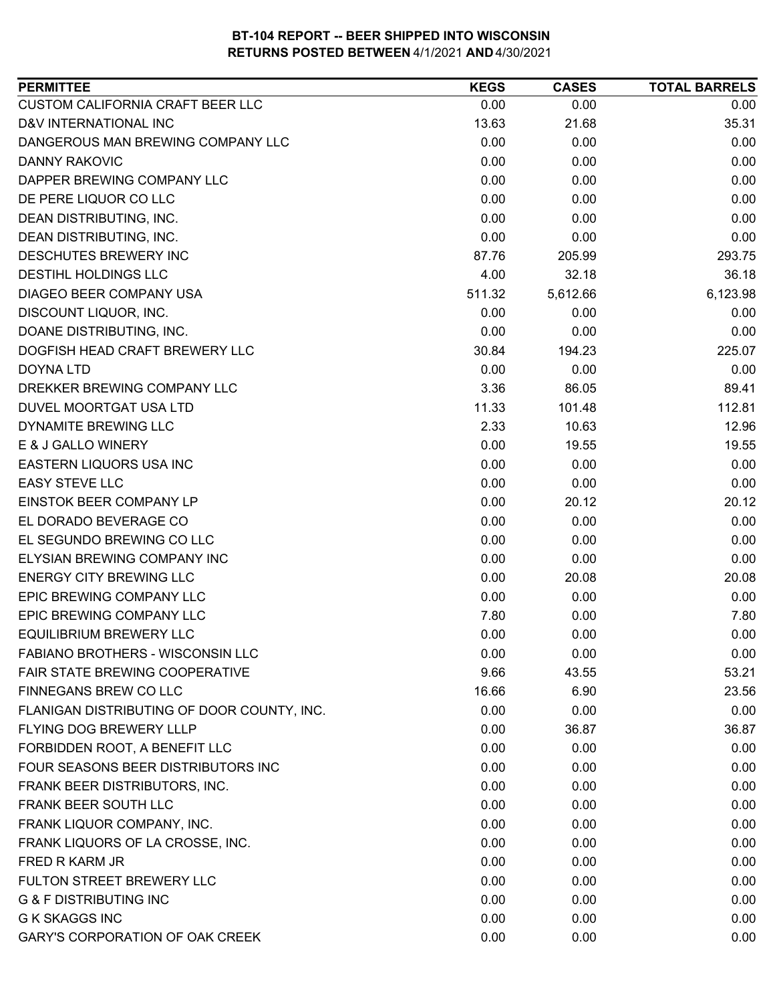| <b>PERMITTEE</b>                           | <b>KEGS</b> | <b>CASES</b> | <b>TOTAL BARRELS</b> |
|--------------------------------------------|-------------|--------------|----------------------|
| CUSTOM CALIFORNIA CRAFT BEER LLC           | 0.00        | 0.00         | 0.00                 |
| D&V INTERNATIONAL INC                      | 13.63       | 21.68        | 35.31                |
| DANGEROUS MAN BREWING COMPANY LLC          | 0.00        | 0.00         | 0.00                 |
| <b>DANNY RAKOVIC</b>                       | 0.00        | 0.00         | 0.00                 |
| DAPPER BREWING COMPANY LLC                 | 0.00        | 0.00         | 0.00                 |
| DE PERE LIQUOR CO LLC                      | 0.00        | 0.00         | 0.00                 |
| DEAN DISTRIBUTING, INC.                    | 0.00        | 0.00         | 0.00                 |
| DEAN DISTRIBUTING, INC.                    | 0.00        | 0.00         | 0.00                 |
| <b>DESCHUTES BREWERY INC</b>               | 87.76       | 205.99       | 293.75               |
| <b>DESTIHL HOLDINGS LLC</b>                | 4.00        | 32.18        | 36.18                |
| DIAGEO BEER COMPANY USA                    | 511.32      | 5,612.66     | 6,123.98             |
| DISCOUNT LIQUOR, INC.                      | 0.00        | 0.00         | 0.00                 |
| DOANE DISTRIBUTING, INC.                   | 0.00        | 0.00         | 0.00                 |
| DOGFISH HEAD CRAFT BREWERY LLC             | 30.84       | 194.23       | 225.07               |
| <b>DOYNA LTD</b>                           | 0.00        | 0.00         | 0.00                 |
| DREKKER BREWING COMPANY LLC                | 3.36        | 86.05        | 89.41                |
| DUVEL MOORTGAT USA LTD                     | 11.33       | 101.48       | 112.81               |
| DYNAMITE BREWING LLC                       | 2.33        | 10.63        | 12.96                |
| E & J GALLO WINERY                         | 0.00        | 19.55        | 19.55                |
| EASTERN LIQUORS USA INC                    | 0.00        | 0.00         | 0.00                 |
| <b>EASY STEVE LLC</b>                      | 0.00        | 0.00         | 0.00                 |
| EINSTOK BEER COMPANY LP                    | 0.00        | 20.12        | 20.12                |
| EL DORADO BEVERAGE CO                      | 0.00        | 0.00         | 0.00                 |
| EL SEGUNDO BREWING CO LLC                  | 0.00        | 0.00         | 0.00                 |
| ELYSIAN BREWING COMPANY INC                | 0.00        | 0.00         | 0.00                 |
| <b>ENERGY CITY BREWING LLC</b>             | 0.00        | 20.08        | 20.08                |
| EPIC BREWING COMPANY LLC                   | 0.00        | 0.00         | 0.00                 |
| <b>EPIC BREWING COMPANY LLC</b>            | 7.80        | 0.00         | 7.80                 |
| <b>EQUILIBRIUM BREWERY LLC</b>             | 0.00        | 0.00         | 0.00                 |
| <b>FABIANO BROTHERS - WISCONSIN LLC</b>    | 0.00        | 0.00         | 0.00                 |
| FAIR STATE BREWING COOPERATIVE             | 9.66        | 43.55        | 53.21                |
| FINNEGANS BREW CO LLC                      | 16.66       | 6.90         | 23.56                |
| FLANIGAN DISTRIBUTING OF DOOR COUNTY, INC. | 0.00        | 0.00         | 0.00                 |
| FLYING DOG BREWERY LLLP                    | 0.00        | 36.87        | 36.87                |
| FORBIDDEN ROOT, A BENEFIT LLC              | 0.00        | 0.00         | 0.00                 |
| FOUR SEASONS BEER DISTRIBUTORS INC         | 0.00        | 0.00         | 0.00                 |
| FRANK BEER DISTRIBUTORS, INC.              | 0.00        | 0.00         | 0.00                 |
| FRANK BEER SOUTH LLC                       | 0.00        | 0.00         | 0.00                 |
| FRANK LIQUOR COMPANY, INC.                 | 0.00        | 0.00         | 0.00                 |
| FRANK LIQUORS OF LA CROSSE, INC.           | 0.00        | 0.00         | 0.00                 |
| FRED R KARM JR                             | 0.00        | 0.00         | 0.00                 |
| FULTON STREET BREWERY LLC                  | 0.00        | 0.00         | 0.00                 |
| <b>G &amp; F DISTRIBUTING INC</b>          | 0.00        | 0.00         | 0.00                 |
| <b>G K SKAGGS INC</b>                      | 0.00        | 0.00         | 0.00                 |
| <b>GARY'S CORPORATION OF OAK CREEK</b>     | 0.00        | 0.00         | 0.00                 |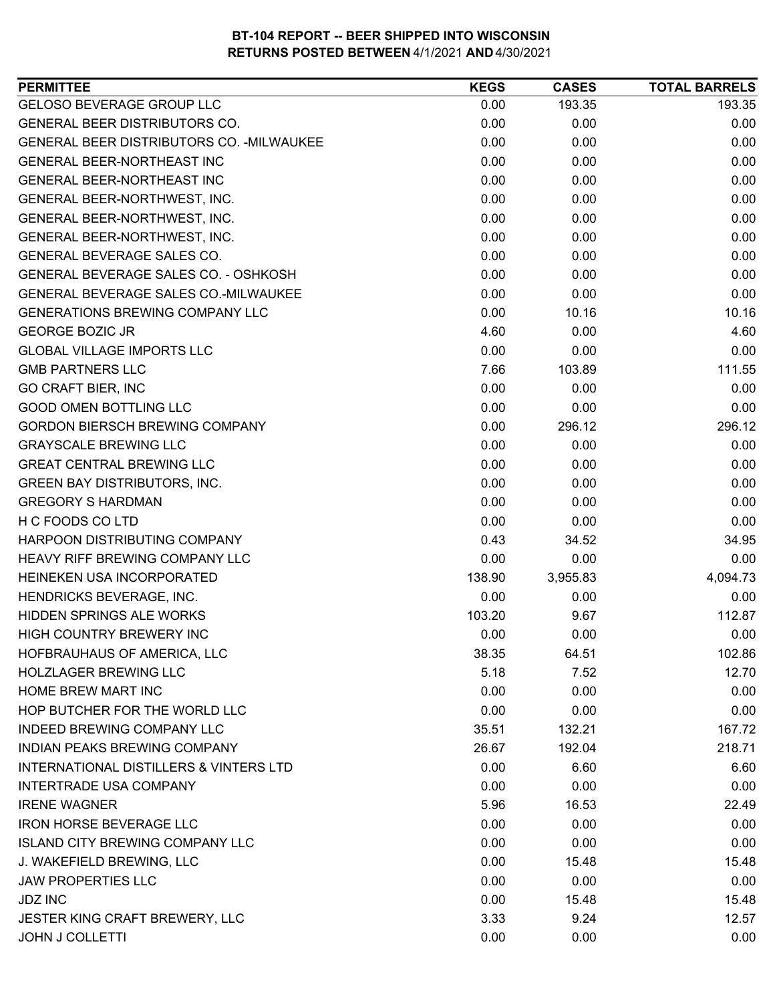| <b>GELOSO BEVERAGE GROUP LLC</b><br>193.35<br>0.00<br>193.35<br><b>GENERAL BEER DISTRIBUTORS CO.</b><br>0.00<br>0.00<br>0.00<br>GENERAL BEER DISTRIBUTORS CO. - MILWAUKEE<br>0.00<br>0.00<br>0.00<br>0.00<br>0.00<br>0.00<br><b>GENERAL BEER-NORTHEAST INC</b><br>0.00<br>0.00<br>0.00<br>GENERAL BEER-NORTHEAST INC<br>0.00<br>0.00<br>0.00<br>GENERAL BEER-NORTHWEST, INC.<br>0.00<br>0.00<br>0.00<br>GENERAL BEER-NORTHWEST, INC.<br>0.00<br>0.00<br>0.00<br>GENERAL BEER-NORTHWEST, INC.<br>0.00<br>GENERAL BEVERAGE SALES CO.<br>0.00<br>0.00<br>GENERAL BEVERAGE SALES CO. - OSHKOSH<br>0.00<br>0.00<br>0.00<br>GENERAL BEVERAGE SALES CO.-MILWAUKEE<br>0.00<br>0.00<br>0.00<br><b>GENERATIONS BREWING COMPANY LLC</b><br>0.00<br>10.16<br>10.16<br><b>GEORGE BOZIC JR</b><br>4.60<br>0.00<br>4.60<br><b>GLOBAL VILLAGE IMPORTS LLC</b><br>0.00<br>0.00<br>0.00<br><b>GMB PARTNERS LLC</b><br>7.66<br>103.89<br>111.55<br><b>GO CRAFT BIER, INC</b><br>0.00<br>0.00<br>0.00<br>0.00<br><b>GOOD OMEN BOTTLING LLC</b><br>0.00<br>0.00<br><b>GORDON BIERSCH BREWING COMPANY</b><br>0.00<br>296.12<br>296.12<br><b>GRAYSCALE BREWING LLC</b><br>0.00<br>0.00<br>0.00<br><b>GREAT CENTRAL BREWING LLC</b><br>0.00<br>0.00<br>0.00<br><b>GREEN BAY DISTRIBUTORS, INC.</b><br>0.00<br>0.00<br>0.00<br><b>GREGORY S HARDMAN</b><br>0.00<br>0.00<br>0.00<br>0.00<br>0.00<br>0.00<br>HARPOON DISTRIBUTING COMPANY<br>0.43<br>34.95<br>34.52<br>0.00<br>0.00<br>HEAVY RIFF BREWING COMPANY LLC<br>0.00<br>4,094.73<br>138.90<br>3,955.83<br>0.00<br>0.00<br>0.00<br>112.87<br>103.20<br>9.67<br>HIGH COUNTRY BREWERY INC<br>0.00<br>0.00<br>0.00<br>38.35<br>64.51<br>102.86<br>5.18<br>7.52<br>12.70<br>0.00<br>0.00<br>0.00<br>0.00<br>0.00<br>0.00<br>35.51<br>132.21<br>167.72<br>218.71<br>26.67<br>192.04<br>0.00<br>6.60<br>6.60<br>0.00<br><b>INTERTRADE USA COMPANY</b><br>0.00<br>0.00<br>5.96<br>16.53<br>22.49<br>0.00<br>0.00<br>0.00<br>0.00<br>0.00<br>0.00<br>J. WAKEFIELD BREWING, LLC<br>15.48<br>0.00<br>15.48<br><b>JAW PROPERTIES LLC</b><br>0.00<br>0.00<br>0.00<br>0.00<br>15.48<br><b>JDZ INC</b><br>15.48<br>JESTER KING CRAFT BREWERY, LLC<br>3.33<br>9.24<br>12.57 | <b>PERMITTEE</b>                                  | <b>KEGS</b> | <b>CASES</b> | <b>TOTAL BARRELS</b> |
|-------------------------------------------------------------------------------------------------------------------------------------------------------------------------------------------------------------------------------------------------------------------------------------------------------------------------------------------------------------------------------------------------------------------------------------------------------------------------------------------------------------------------------------------------------------------------------------------------------------------------------------------------------------------------------------------------------------------------------------------------------------------------------------------------------------------------------------------------------------------------------------------------------------------------------------------------------------------------------------------------------------------------------------------------------------------------------------------------------------------------------------------------------------------------------------------------------------------------------------------------------------------------------------------------------------------------------------------------------------------------------------------------------------------------------------------------------------------------------------------------------------------------------------------------------------------------------------------------------------------------------------------------------------------------------------------------------------------------------------------------------------------------------------------------------------------------------------------------------------------------------------------------------------------------------------------------------------------------------------------------------------------------------------------------------------------------------------------------------------------------------------------------------------------------------------------|---------------------------------------------------|-------------|--------------|----------------------|
|                                                                                                                                                                                                                                                                                                                                                                                                                                                                                                                                                                                                                                                                                                                                                                                                                                                                                                                                                                                                                                                                                                                                                                                                                                                                                                                                                                                                                                                                                                                                                                                                                                                                                                                                                                                                                                                                                                                                                                                                                                                                                                                                                                                           |                                                   |             |              |                      |
|                                                                                                                                                                                                                                                                                                                                                                                                                                                                                                                                                                                                                                                                                                                                                                                                                                                                                                                                                                                                                                                                                                                                                                                                                                                                                                                                                                                                                                                                                                                                                                                                                                                                                                                                                                                                                                                                                                                                                                                                                                                                                                                                                                                           |                                                   |             |              |                      |
|                                                                                                                                                                                                                                                                                                                                                                                                                                                                                                                                                                                                                                                                                                                                                                                                                                                                                                                                                                                                                                                                                                                                                                                                                                                                                                                                                                                                                                                                                                                                                                                                                                                                                                                                                                                                                                                                                                                                                                                                                                                                                                                                                                                           |                                                   |             |              |                      |
|                                                                                                                                                                                                                                                                                                                                                                                                                                                                                                                                                                                                                                                                                                                                                                                                                                                                                                                                                                                                                                                                                                                                                                                                                                                                                                                                                                                                                                                                                                                                                                                                                                                                                                                                                                                                                                                                                                                                                                                                                                                                                                                                                                                           |                                                   |             |              |                      |
|                                                                                                                                                                                                                                                                                                                                                                                                                                                                                                                                                                                                                                                                                                                                                                                                                                                                                                                                                                                                                                                                                                                                                                                                                                                                                                                                                                                                                                                                                                                                                                                                                                                                                                                                                                                                                                                                                                                                                                                                                                                                                                                                                                                           |                                                   |             |              |                      |
|                                                                                                                                                                                                                                                                                                                                                                                                                                                                                                                                                                                                                                                                                                                                                                                                                                                                                                                                                                                                                                                                                                                                                                                                                                                                                                                                                                                                                                                                                                                                                                                                                                                                                                                                                                                                                                                                                                                                                                                                                                                                                                                                                                                           |                                                   |             |              |                      |
|                                                                                                                                                                                                                                                                                                                                                                                                                                                                                                                                                                                                                                                                                                                                                                                                                                                                                                                                                                                                                                                                                                                                                                                                                                                                                                                                                                                                                                                                                                                                                                                                                                                                                                                                                                                                                                                                                                                                                                                                                                                                                                                                                                                           |                                                   |             |              |                      |
|                                                                                                                                                                                                                                                                                                                                                                                                                                                                                                                                                                                                                                                                                                                                                                                                                                                                                                                                                                                                                                                                                                                                                                                                                                                                                                                                                                                                                                                                                                                                                                                                                                                                                                                                                                                                                                                                                                                                                                                                                                                                                                                                                                                           |                                                   |             |              |                      |
|                                                                                                                                                                                                                                                                                                                                                                                                                                                                                                                                                                                                                                                                                                                                                                                                                                                                                                                                                                                                                                                                                                                                                                                                                                                                                                                                                                                                                                                                                                                                                                                                                                                                                                                                                                                                                                                                                                                                                                                                                                                                                                                                                                                           |                                                   |             |              |                      |
|                                                                                                                                                                                                                                                                                                                                                                                                                                                                                                                                                                                                                                                                                                                                                                                                                                                                                                                                                                                                                                                                                                                                                                                                                                                                                                                                                                                                                                                                                                                                                                                                                                                                                                                                                                                                                                                                                                                                                                                                                                                                                                                                                                                           |                                                   |             |              |                      |
|                                                                                                                                                                                                                                                                                                                                                                                                                                                                                                                                                                                                                                                                                                                                                                                                                                                                                                                                                                                                                                                                                                                                                                                                                                                                                                                                                                                                                                                                                                                                                                                                                                                                                                                                                                                                                                                                                                                                                                                                                                                                                                                                                                                           |                                                   |             |              |                      |
|                                                                                                                                                                                                                                                                                                                                                                                                                                                                                                                                                                                                                                                                                                                                                                                                                                                                                                                                                                                                                                                                                                                                                                                                                                                                                                                                                                                                                                                                                                                                                                                                                                                                                                                                                                                                                                                                                                                                                                                                                                                                                                                                                                                           |                                                   |             |              |                      |
|                                                                                                                                                                                                                                                                                                                                                                                                                                                                                                                                                                                                                                                                                                                                                                                                                                                                                                                                                                                                                                                                                                                                                                                                                                                                                                                                                                                                                                                                                                                                                                                                                                                                                                                                                                                                                                                                                                                                                                                                                                                                                                                                                                                           |                                                   |             |              |                      |
|                                                                                                                                                                                                                                                                                                                                                                                                                                                                                                                                                                                                                                                                                                                                                                                                                                                                                                                                                                                                                                                                                                                                                                                                                                                                                                                                                                                                                                                                                                                                                                                                                                                                                                                                                                                                                                                                                                                                                                                                                                                                                                                                                                                           |                                                   |             |              |                      |
|                                                                                                                                                                                                                                                                                                                                                                                                                                                                                                                                                                                                                                                                                                                                                                                                                                                                                                                                                                                                                                                                                                                                                                                                                                                                                                                                                                                                                                                                                                                                                                                                                                                                                                                                                                                                                                                                                                                                                                                                                                                                                                                                                                                           |                                                   |             |              |                      |
|                                                                                                                                                                                                                                                                                                                                                                                                                                                                                                                                                                                                                                                                                                                                                                                                                                                                                                                                                                                                                                                                                                                                                                                                                                                                                                                                                                                                                                                                                                                                                                                                                                                                                                                                                                                                                                                                                                                                                                                                                                                                                                                                                                                           |                                                   |             |              |                      |
|                                                                                                                                                                                                                                                                                                                                                                                                                                                                                                                                                                                                                                                                                                                                                                                                                                                                                                                                                                                                                                                                                                                                                                                                                                                                                                                                                                                                                                                                                                                                                                                                                                                                                                                                                                                                                                                                                                                                                                                                                                                                                                                                                                                           |                                                   |             |              |                      |
|                                                                                                                                                                                                                                                                                                                                                                                                                                                                                                                                                                                                                                                                                                                                                                                                                                                                                                                                                                                                                                                                                                                                                                                                                                                                                                                                                                                                                                                                                                                                                                                                                                                                                                                                                                                                                                                                                                                                                                                                                                                                                                                                                                                           |                                                   |             |              |                      |
|                                                                                                                                                                                                                                                                                                                                                                                                                                                                                                                                                                                                                                                                                                                                                                                                                                                                                                                                                                                                                                                                                                                                                                                                                                                                                                                                                                                                                                                                                                                                                                                                                                                                                                                                                                                                                                                                                                                                                                                                                                                                                                                                                                                           |                                                   |             |              |                      |
|                                                                                                                                                                                                                                                                                                                                                                                                                                                                                                                                                                                                                                                                                                                                                                                                                                                                                                                                                                                                                                                                                                                                                                                                                                                                                                                                                                                                                                                                                                                                                                                                                                                                                                                                                                                                                                                                                                                                                                                                                                                                                                                                                                                           |                                                   |             |              |                      |
|                                                                                                                                                                                                                                                                                                                                                                                                                                                                                                                                                                                                                                                                                                                                                                                                                                                                                                                                                                                                                                                                                                                                                                                                                                                                                                                                                                                                                                                                                                                                                                                                                                                                                                                                                                                                                                                                                                                                                                                                                                                                                                                                                                                           |                                                   |             |              |                      |
|                                                                                                                                                                                                                                                                                                                                                                                                                                                                                                                                                                                                                                                                                                                                                                                                                                                                                                                                                                                                                                                                                                                                                                                                                                                                                                                                                                                                                                                                                                                                                                                                                                                                                                                                                                                                                                                                                                                                                                                                                                                                                                                                                                                           |                                                   |             |              |                      |
|                                                                                                                                                                                                                                                                                                                                                                                                                                                                                                                                                                                                                                                                                                                                                                                                                                                                                                                                                                                                                                                                                                                                                                                                                                                                                                                                                                                                                                                                                                                                                                                                                                                                                                                                                                                                                                                                                                                                                                                                                                                                                                                                                                                           | H C FOODS CO LTD                                  |             |              |                      |
|                                                                                                                                                                                                                                                                                                                                                                                                                                                                                                                                                                                                                                                                                                                                                                                                                                                                                                                                                                                                                                                                                                                                                                                                                                                                                                                                                                                                                                                                                                                                                                                                                                                                                                                                                                                                                                                                                                                                                                                                                                                                                                                                                                                           |                                                   |             |              |                      |
|                                                                                                                                                                                                                                                                                                                                                                                                                                                                                                                                                                                                                                                                                                                                                                                                                                                                                                                                                                                                                                                                                                                                                                                                                                                                                                                                                                                                                                                                                                                                                                                                                                                                                                                                                                                                                                                                                                                                                                                                                                                                                                                                                                                           |                                                   |             |              |                      |
|                                                                                                                                                                                                                                                                                                                                                                                                                                                                                                                                                                                                                                                                                                                                                                                                                                                                                                                                                                                                                                                                                                                                                                                                                                                                                                                                                                                                                                                                                                                                                                                                                                                                                                                                                                                                                                                                                                                                                                                                                                                                                                                                                                                           | HEINEKEN USA INCORPORATED                         |             |              |                      |
|                                                                                                                                                                                                                                                                                                                                                                                                                                                                                                                                                                                                                                                                                                                                                                                                                                                                                                                                                                                                                                                                                                                                                                                                                                                                                                                                                                                                                                                                                                                                                                                                                                                                                                                                                                                                                                                                                                                                                                                                                                                                                                                                                                                           | HENDRICKS BEVERAGE, INC.                          |             |              |                      |
|                                                                                                                                                                                                                                                                                                                                                                                                                                                                                                                                                                                                                                                                                                                                                                                                                                                                                                                                                                                                                                                                                                                                                                                                                                                                                                                                                                                                                                                                                                                                                                                                                                                                                                                                                                                                                                                                                                                                                                                                                                                                                                                                                                                           | <b>HIDDEN SPRINGS ALE WORKS</b>                   |             |              |                      |
|                                                                                                                                                                                                                                                                                                                                                                                                                                                                                                                                                                                                                                                                                                                                                                                                                                                                                                                                                                                                                                                                                                                                                                                                                                                                                                                                                                                                                                                                                                                                                                                                                                                                                                                                                                                                                                                                                                                                                                                                                                                                                                                                                                                           |                                                   |             |              |                      |
|                                                                                                                                                                                                                                                                                                                                                                                                                                                                                                                                                                                                                                                                                                                                                                                                                                                                                                                                                                                                                                                                                                                                                                                                                                                                                                                                                                                                                                                                                                                                                                                                                                                                                                                                                                                                                                                                                                                                                                                                                                                                                                                                                                                           | HOFBRAUHAUS OF AMERICA, LLC                       |             |              |                      |
|                                                                                                                                                                                                                                                                                                                                                                                                                                                                                                                                                                                                                                                                                                                                                                                                                                                                                                                                                                                                                                                                                                                                                                                                                                                                                                                                                                                                                                                                                                                                                                                                                                                                                                                                                                                                                                                                                                                                                                                                                                                                                                                                                                                           | HOLZLAGER BREWING LLC                             |             |              |                      |
|                                                                                                                                                                                                                                                                                                                                                                                                                                                                                                                                                                                                                                                                                                                                                                                                                                                                                                                                                                                                                                                                                                                                                                                                                                                                                                                                                                                                                                                                                                                                                                                                                                                                                                                                                                                                                                                                                                                                                                                                                                                                                                                                                                                           | <b>HOME BREW MART INC</b>                         |             |              |                      |
|                                                                                                                                                                                                                                                                                                                                                                                                                                                                                                                                                                                                                                                                                                                                                                                                                                                                                                                                                                                                                                                                                                                                                                                                                                                                                                                                                                                                                                                                                                                                                                                                                                                                                                                                                                                                                                                                                                                                                                                                                                                                                                                                                                                           | HOP BUTCHER FOR THE WORLD LLC                     |             |              |                      |
|                                                                                                                                                                                                                                                                                                                                                                                                                                                                                                                                                                                                                                                                                                                                                                                                                                                                                                                                                                                                                                                                                                                                                                                                                                                                                                                                                                                                                                                                                                                                                                                                                                                                                                                                                                                                                                                                                                                                                                                                                                                                                                                                                                                           | <b>INDEED BREWING COMPANY LLC</b>                 |             |              |                      |
|                                                                                                                                                                                                                                                                                                                                                                                                                                                                                                                                                                                                                                                                                                                                                                                                                                                                                                                                                                                                                                                                                                                                                                                                                                                                                                                                                                                                                                                                                                                                                                                                                                                                                                                                                                                                                                                                                                                                                                                                                                                                                                                                                                                           | INDIAN PEAKS BREWING COMPANY                      |             |              |                      |
|                                                                                                                                                                                                                                                                                                                                                                                                                                                                                                                                                                                                                                                                                                                                                                                                                                                                                                                                                                                                                                                                                                                                                                                                                                                                                                                                                                                                                                                                                                                                                                                                                                                                                                                                                                                                                                                                                                                                                                                                                                                                                                                                                                                           | <b>INTERNATIONAL DISTILLERS &amp; VINTERS LTD</b> |             |              |                      |
|                                                                                                                                                                                                                                                                                                                                                                                                                                                                                                                                                                                                                                                                                                                                                                                                                                                                                                                                                                                                                                                                                                                                                                                                                                                                                                                                                                                                                                                                                                                                                                                                                                                                                                                                                                                                                                                                                                                                                                                                                                                                                                                                                                                           |                                                   |             |              |                      |
|                                                                                                                                                                                                                                                                                                                                                                                                                                                                                                                                                                                                                                                                                                                                                                                                                                                                                                                                                                                                                                                                                                                                                                                                                                                                                                                                                                                                                                                                                                                                                                                                                                                                                                                                                                                                                                                                                                                                                                                                                                                                                                                                                                                           | <b>IRENE WAGNER</b>                               |             |              |                      |
|                                                                                                                                                                                                                                                                                                                                                                                                                                                                                                                                                                                                                                                                                                                                                                                                                                                                                                                                                                                                                                                                                                                                                                                                                                                                                                                                                                                                                                                                                                                                                                                                                                                                                                                                                                                                                                                                                                                                                                                                                                                                                                                                                                                           | <b>IRON HORSE BEVERAGE LLC</b>                    |             |              |                      |
|                                                                                                                                                                                                                                                                                                                                                                                                                                                                                                                                                                                                                                                                                                                                                                                                                                                                                                                                                                                                                                                                                                                                                                                                                                                                                                                                                                                                                                                                                                                                                                                                                                                                                                                                                                                                                                                                                                                                                                                                                                                                                                                                                                                           | <b>ISLAND CITY BREWING COMPANY LLC</b>            |             |              |                      |
|                                                                                                                                                                                                                                                                                                                                                                                                                                                                                                                                                                                                                                                                                                                                                                                                                                                                                                                                                                                                                                                                                                                                                                                                                                                                                                                                                                                                                                                                                                                                                                                                                                                                                                                                                                                                                                                                                                                                                                                                                                                                                                                                                                                           |                                                   |             |              |                      |
|                                                                                                                                                                                                                                                                                                                                                                                                                                                                                                                                                                                                                                                                                                                                                                                                                                                                                                                                                                                                                                                                                                                                                                                                                                                                                                                                                                                                                                                                                                                                                                                                                                                                                                                                                                                                                                                                                                                                                                                                                                                                                                                                                                                           |                                                   |             |              |                      |
|                                                                                                                                                                                                                                                                                                                                                                                                                                                                                                                                                                                                                                                                                                                                                                                                                                                                                                                                                                                                                                                                                                                                                                                                                                                                                                                                                                                                                                                                                                                                                                                                                                                                                                                                                                                                                                                                                                                                                                                                                                                                                                                                                                                           |                                                   |             |              |                      |
|                                                                                                                                                                                                                                                                                                                                                                                                                                                                                                                                                                                                                                                                                                                                                                                                                                                                                                                                                                                                                                                                                                                                                                                                                                                                                                                                                                                                                                                                                                                                                                                                                                                                                                                                                                                                                                                                                                                                                                                                                                                                                                                                                                                           |                                                   |             |              |                      |
|                                                                                                                                                                                                                                                                                                                                                                                                                                                                                                                                                                                                                                                                                                                                                                                                                                                                                                                                                                                                                                                                                                                                                                                                                                                                                                                                                                                                                                                                                                                                                                                                                                                                                                                                                                                                                                                                                                                                                                                                                                                                                                                                                                                           | <b>JOHN J COLLETTI</b>                            | 0.00        | 0.00         | 0.00                 |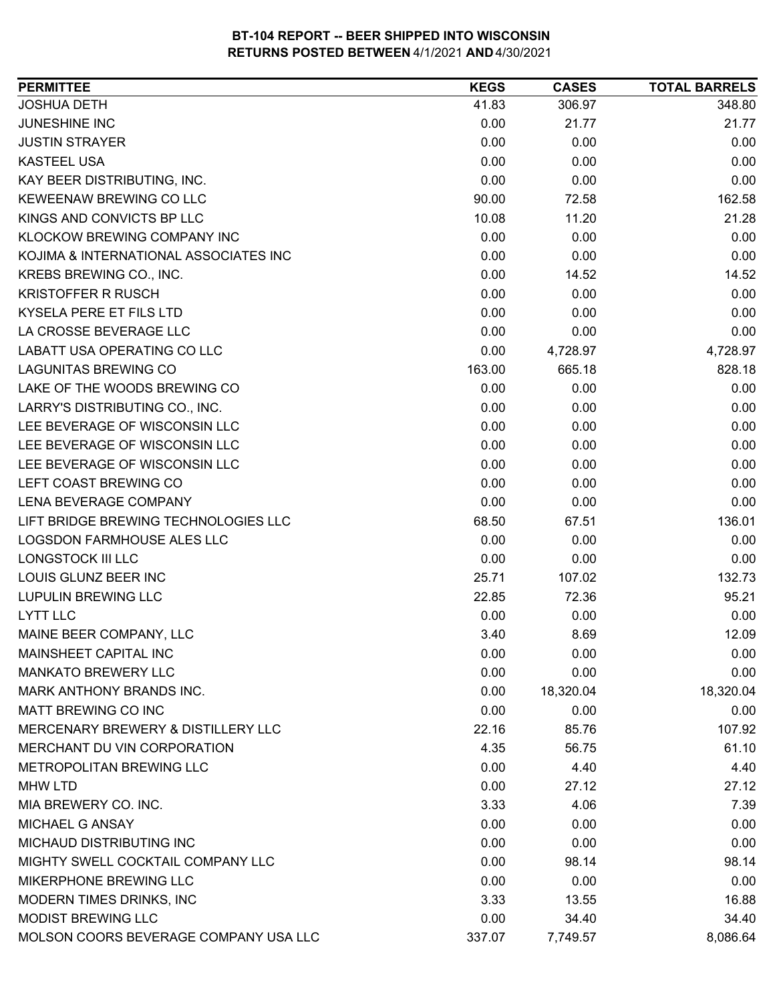| <b>PERMITTEE</b>                      | <b>KEGS</b> | <b>CASES</b> | <b>TOTAL BARRELS</b> |
|---------------------------------------|-------------|--------------|----------------------|
| <b>JOSHUA DETH</b>                    | 41.83       | 306.97       | 348.80               |
| <b>JUNESHINE INC</b>                  | 0.00        | 21.77        | 21.77                |
| <b>JUSTIN STRAYER</b>                 | 0.00        | 0.00         | 0.00                 |
| <b>KASTEEL USA</b>                    | 0.00        | 0.00         | 0.00                 |
| KAY BEER DISTRIBUTING, INC.           | 0.00        | 0.00         | 0.00                 |
| KEWEENAW BREWING CO LLC               | 90.00       | 72.58        | 162.58               |
| KINGS AND CONVICTS BP LLC             | 10.08       | 11.20        | 21.28                |
| KLOCKOW BREWING COMPANY INC           | 0.00        | 0.00         | 0.00                 |
| KOJIMA & INTERNATIONAL ASSOCIATES INC | 0.00        | 0.00         | 0.00                 |
| KREBS BREWING CO., INC.               | 0.00        | 14.52        | 14.52                |
| <b>KRISTOFFER R RUSCH</b>             | 0.00        | 0.00         | 0.00                 |
| KYSELA PERE ET FILS LTD               | 0.00        | 0.00         | 0.00                 |
| LA CROSSE BEVERAGE LLC                | 0.00        | 0.00         | 0.00                 |
| LABATT USA OPERATING CO LLC           | 0.00        | 4,728.97     | 4,728.97             |
| <b>LAGUNITAS BREWING CO</b>           | 163.00      | 665.18       | 828.18               |
| LAKE OF THE WOODS BREWING CO          | 0.00        | 0.00         | 0.00                 |
| LARRY'S DISTRIBUTING CO., INC.        | 0.00        | 0.00         | 0.00                 |
| LEE BEVERAGE OF WISCONSIN LLC         | 0.00        | 0.00         | 0.00                 |
| LEE BEVERAGE OF WISCONSIN LLC         | 0.00        | 0.00         | 0.00                 |
| LEE BEVERAGE OF WISCONSIN LLC         | 0.00        | 0.00         | 0.00                 |
| LEFT COAST BREWING CO                 | 0.00        | 0.00         | 0.00                 |
| LENA BEVERAGE COMPANY                 | 0.00        | 0.00         | 0.00                 |
| LIFT BRIDGE BREWING TECHNOLOGIES LLC  | 68.50       | 67.51        | 136.01               |
| LOGSDON FARMHOUSE ALES LLC            | 0.00        | 0.00         | 0.00                 |
| LONGSTOCK III LLC                     | 0.00        | 0.00         | 0.00                 |
| LOUIS GLUNZ BEER INC                  | 25.71       | 107.02       | 132.73               |
| <b>LUPULIN BREWING LLC</b>            | 22.85       | 72.36        | 95.21                |
| <b>LYTT LLC</b>                       | 0.00        | 0.00         | 0.00                 |
| MAINE BEER COMPANY, LLC               | 3.40        | 8.69         | 12.09                |
| <b>MAINSHEET CAPITAL INC</b>          | 0.00        | 0.00         | 0.00                 |
| <b>MANKATO BREWERY LLC</b>            | 0.00        | 0.00         | 0.00                 |
| MARK ANTHONY BRANDS INC.              | 0.00        | 18,320.04    | 18,320.04            |
| MATT BREWING CO INC                   | 0.00        | 0.00         | 0.00                 |
| MERCENARY BREWERY & DISTILLERY LLC    | 22.16       | 85.76        | 107.92               |
| MERCHANT DU VIN CORPORATION           | 4.35        | 56.75        | 61.10                |
| METROPOLITAN BREWING LLC              | 0.00        | 4.40         | 4.40                 |
| <b>MHW LTD</b>                        | 0.00        | 27.12        | 27.12                |
| MIA BREWERY CO. INC.                  | 3.33        | 4.06         | 7.39                 |
| <b>MICHAEL G ANSAY</b>                | 0.00        | 0.00         | 0.00                 |
| MICHAUD DISTRIBUTING INC              | 0.00        | 0.00         | 0.00                 |
| MIGHTY SWELL COCKTAIL COMPANY LLC     | 0.00        | 98.14        | 98.14                |
| MIKERPHONE BREWING LLC                | 0.00        | 0.00         | 0.00                 |
| MODERN TIMES DRINKS, INC              | 3.33        | 13.55        | 16.88                |
| <b>MODIST BREWING LLC</b>             | 0.00        | 34.40        | 34.40                |
| MOLSON COORS BEVERAGE COMPANY USA LLC | 337.07      | 7,749.57     | 8,086.64             |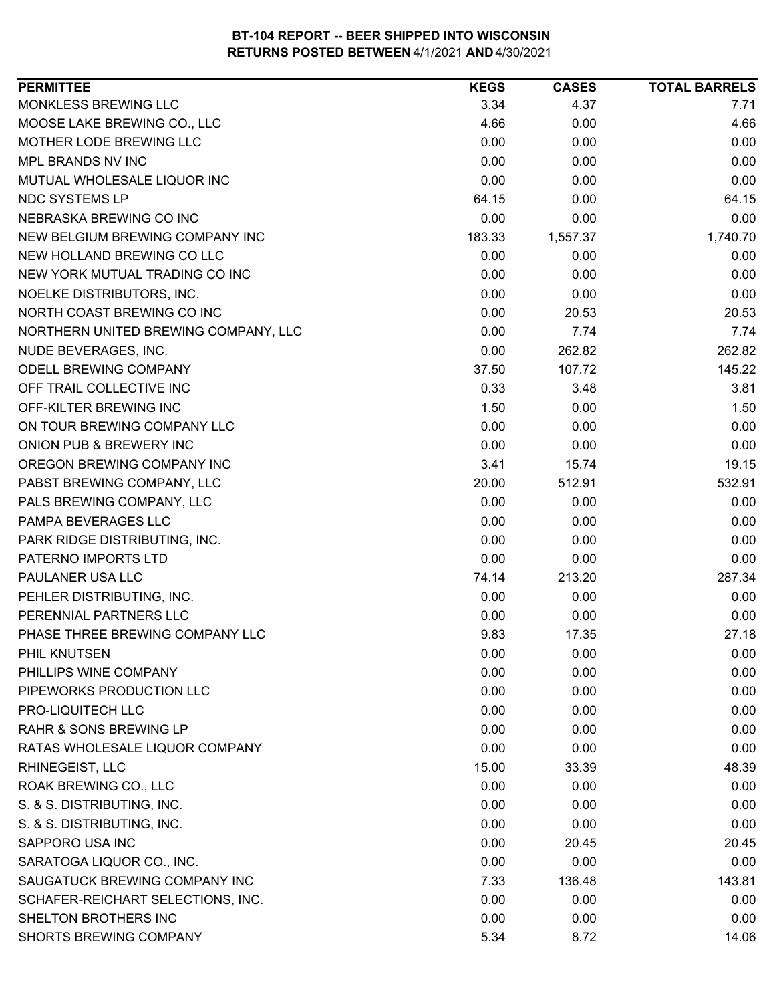| <b>PERMITTEE</b>                     | <b>KEGS</b> | <b>CASES</b> | <b>TOTAL BARRELS</b> |
|--------------------------------------|-------------|--------------|----------------------|
| MONKLESS BREWING LLC                 | 3.34        | 4.37         | 7.71                 |
| MOOSE LAKE BREWING CO., LLC          | 4.66        | 0.00         | 4.66                 |
| MOTHER LODE BREWING LLC              | 0.00        | 0.00         | 0.00                 |
| MPL BRANDS NV INC                    | 0.00        | 0.00         | 0.00                 |
| MUTUAL WHOLESALE LIQUOR INC          | 0.00        | 0.00         | 0.00                 |
| NDC SYSTEMS LP                       | 64.15       | 0.00         | 64.15                |
| NEBRASKA BREWING CO INC              | 0.00        | 0.00         | 0.00                 |
| NEW BELGIUM BREWING COMPANY INC      | 183.33      | 1,557.37     | 1,740.70             |
| NEW HOLLAND BREWING CO LLC           | 0.00        | 0.00         | 0.00                 |
| NEW YORK MUTUAL TRADING CO INC       | 0.00        | 0.00         | 0.00                 |
| NOELKE DISTRIBUTORS, INC.            | 0.00        | 0.00         | 0.00                 |
| NORTH COAST BREWING CO INC           | 0.00        | 20.53        | 20.53                |
| NORTHERN UNITED BREWING COMPANY, LLC | 0.00        | 7.74         | 7.74                 |
| NUDE BEVERAGES, INC.                 | 0.00        | 262.82       | 262.82               |
| ODELL BREWING COMPANY                | 37.50       | 107.72       | 145.22               |
| OFF TRAIL COLLECTIVE INC             | 0.33        | 3.48         | 3.81                 |
| OFF-KILTER BREWING INC               | 1.50        | 0.00         | 1.50                 |
| ON TOUR BREWING COMPANY LLC          | 0.00        | 0.00         | 0.00                 |
| ONION PUB & BREWERY INC              | 0.00        | 0.00         | 0.00                 |
| OREGON BREWING COMPANY INC           | 3.41        | 15.74        | 19.15                |
| PABST BREWING COMPANY, LLC           | 20.00       | 512.91       | 532.91               |
| PALS BREWING COMPANY, LLC            | 0.00        | 0.00         | 0.00                 |
| PAMPA BEVERAGES LLC                  | 0.00        | 0.00         | 0.00                 |
| PARK RIDGE DISTRIBUTING, INC.        | 0.00        | 0.00         | 0.00                 |
| PATERNO IMPORTS LTD                  | 0.00        | 0.00         | 0.00                 |
| PAULANER USA LLC                     | 74.14       | 213.20       | 287.34               |
| PEHLER DISTRIBUTING, INC.            | 0.00        | 0.00         | 0.00                 |
| PERENNIAL PARTNERS LLC               | 0.00        | 0.00         | 0.00                 |
| PHASE THREE BREWING COMPANY LLC      | 9.83        | 17.35        | 27.18                |
| PHIL KNUTSEN                         | 0.00        | 0.00         | 0.00                 |
| PHILLIPS WINE COMPANY                | 0.00        | 0.00         | 0.00                 |
| PIPEWORKS PRODUCTION LLC             | 0.00        | 0.00         | 0.00                 |
| PRO-LIQUITECH LLC                    | 0.00        | 0.00         | 0.00                 |
| <b>RAHR &amp; SONS BREWING LP</b>    | 0.00        | 0.00         | 0.00                 |
| RATAS WHOLESALE LIQUOR COMPANY       | 0.00        | 0.00         | 0.00                 |
| RHINEGEIST, LLC                      | 15.00       | 33.39        | 48.39                |
| ROAK BREWING CO., LLC                | 0.00        | 0.00         | 0.00                 |
| S. & S. DISTRIBUTING, INC.           | 0.00        | 0.00         | 0.00                 |
| S. & S. DISTRIBUTING, INC.           | 0.00        | 0.00         | 0.00                 |
| SAPPORO USA INC                      | 0.00        | 20.45        | 20.45                |
| SARATOGA LIQUOR CO., INC.            | 0.00        | 0.00         | 0.00                 |
| SAUGATUCK BREWING COMPANY INC        | 7.33        | 136.48       | 143.81               |
| SCHAFER-REICHART SELECTIONS, INC.    | 0.00        | 0.00         | 0.00                 |
| SHELTON BROTHERS INC                 | 0.00        | 0.00         | 0.00                 |
| SHORTS BREWING COMPANY               | 5.34        | 8.72         | 14.06                |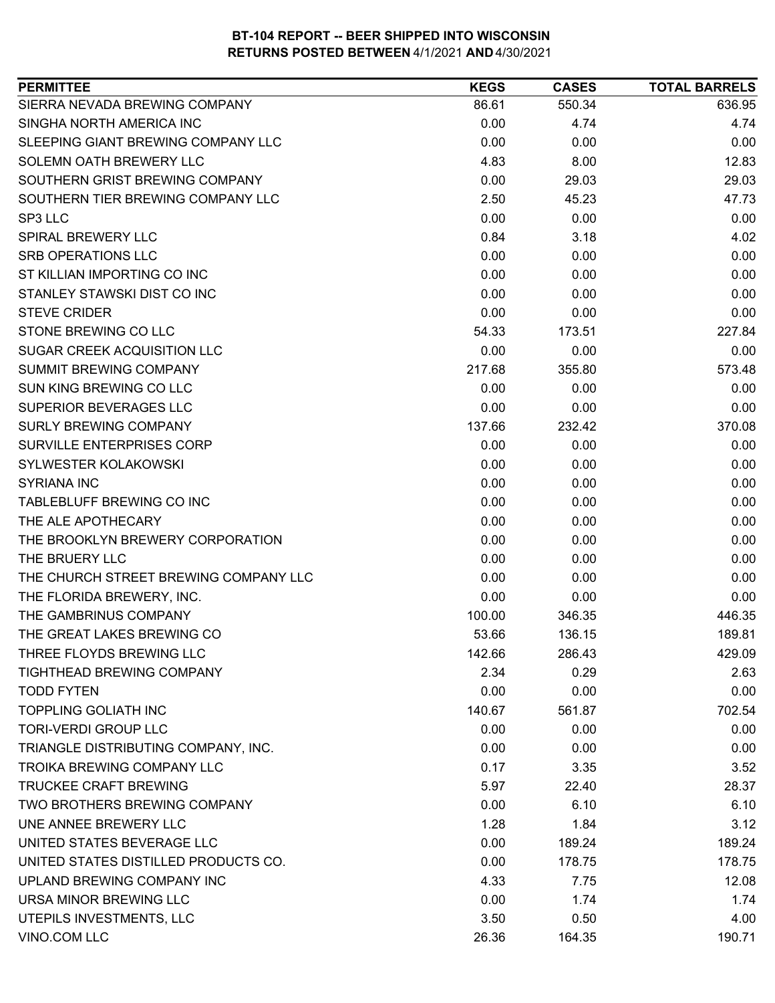| SIERRA NEVADA BREWING COMPANY<br>550.34<br>636.95<br>86.61<br>SINGHA NORTH AMERICA INC<br>4.74<br>0.00<br>4.74<br>SLEEPING GIANT BREWING COMPANY LLC<br>0.00<br>0.00<br>0.00<br>4.83<br>12.83<br>SOLEMN OATH BREWERY LLC<br>8.00<br>SOUTHERN GRIST BREWING COMPANY<br>0.00<br>29.03<br>29.03<br>SOUTHERN TIER BREWING COMPANY LLC<br>2.50<br>47.73<br>45.23<br>SP3 LLC<br>0.00<br>0.00<br>0.00<br>0.84<br>4.02<br><b>SPIRAL BREWERY LLC</b><br>3.18<br><b>SRB OPERATIONS LLC</b><br>0.00<br>0.00<br>0.00<br>ST KILLIAN IMPORTING CO INC<br>0.00<br>0.00<br>0.00<br>STANLEY STAWSKI DIST CO INC<br>0.00<br>0.00<br>0.00<br>0.00<br><b>STEVE CRIDER</b><br>0.00<br>0.00<br>STONE BREWING CO LLC<br>54.33<br>227.84<br>173.51<br>SUGAR CREEK ACQUISITION LLC<br>0.00<br>0.00<br>0.00<br><b>SUMMIT BREWING COMPANY</b><br>217.68<br>355.80<br>573.48<br><b>SUN KING BREWING CO LLC</b><br>0.00<br>0.00<br>0.00<br><b>SUPERIOR BEVERAGES LLC</b><br>0.00<br>0.00<br>0.00<br><b>SURLY BREWING COMPANY</b><br>232.42<br>370.08<br>137.66<br>SURVILLE ENTERPRISES CORP<br>0.00<br>0.00<br>0.00<br>0.00<br>0.00<br><b>SYLWESTER KOLAKOWSKI</b><br>0.00<br>0.00<br>0.00<br><b>SYRIANA INC</b><br>0.00<br>TABLEBLUFF BREWING CO INC<br>0.00<br>0.00<br>0.00<br>THE ALE APOTHECARY<br>0.00<br>0.00<br>0.00<br>THE BROOKLYN BREWERY CORPORATION<br>0.00<br>0.00<br>0.00<br>0.00<br>0.00<br>THE BRUERY LLC<br>0.00<br>THE CHURCH STREET BREWING COMPANY LLC<br>0.00<br>0.00<br>0.00<br>THE FLORIDA BREWERY, INC.<br>0.00<br>0.00<br>0.00<br>THE GAMBRINUS COMPANY<br>446.35<br>100.00<br>346.35<br>THE GREAT LAKES BREWING CO<br>53.66<br>136.15<br>189.81<br>THREE FLOYDS BREWING LLC<br>142.66<br>286.43<br>429.09<br>TIGHTHEAD BREWING COMPANY<br>2.34<br>0.29<br>2.63<br><b>TODD FYTEN</b><br>0.00<br>0.00<br>0.00<br><b>TOPPLING GOLIATH INC</b><br>702.54<br>140.67<br>561.87<br><b>TORI-VERDI GROUP LLC</b><br>0.00<br>0.00<br>0.00<br>TRIANGLE DISTRIBUTING COMPANY, INC.<br>0.00<br>0.00<br>0.00<br><b>TROIKA BREWING COMPANY LLC</b><br>0.17<br>3.35<br>3.52<br><b>TRUCKEE CRAFT BREWING</b><br>5.97<br>22.40<br>28.37<br>TWO BROTHERS BREWING COMPANY<br>0.00<br>6.10<br>6.10<br>UNE ANNEE BREWERY LLC<br>3.12<br>1.28<br>1.84<br>UNITED STATES BEVERAGE LLC<br>0.00<br>189.24<br>189.24<br>UNITED STATES DISTILLED PRODUCTS CO.<br>178.75<br>0.00<br>178.75<br>UPLAND BREWING COMPANY INC<br>4.33<br>12.08<br>7.75<br>URSA MINOR BREWING LLC<br>0.00<br>1.74<br>1.74<br>UTEPILS INVESTMENTS, LLC<br>3.50<br>4.00<br>0.50<br>VINO.COM LLC<br>190.71<br>26.36<br>164.35 | <b>PERMITTEE</b> | <b>KEGS</b> | <b>CASES</b> | <b>TOTAL BARRELS</b> |
|---------------------------------------------------------------------------------------------------------------------------------------------------------------------------------------------------------------------------------------------------------------------------------------------------------------------------------------------------------------------------------------------------------------------------------------------------------------------------------------------------------------------------------------------------------------------------------------------------------------------------------------------------------------------------------------------------------------------------------------------------------------------------------------------------------------------------------------------------------------------------------------------------------------------------------------------------------------------------------------------------------------------------------------------------------------------------------------------------------------------------------------------------------------------------------------------------------------------------------------------------------------------------------------------------------------------------------------------------------------------------------------------------------------------------------------------------------------------------------------------------------------------------------------------------------------------------------------------------------------------------------------------------------------------------------------------------------------------------------------------------------------------------------------------------------------------------------------------------------------------------------------------------------------------------------------------------------------------------------------------------------------------------------------------------------------------------------------------------------------------------------------------------------------------------------------------------------------------------------------------------------------------------------------------------------------------------------------------------------------------------------------------------------------------------------------------------------------------------------------------------------------------------------------------------------------------|------------------|-------------|--------------|----------------------|
|                                                                                                                                                                                                                                                                                                                                                                                                                                                                                                                                                                                                                                                                                                                                                                                                                                                                                                                                                                                                                                                                                                                                                                                                                                                                                                                                                                                                                                                                                                                                                                                                                                                                                                                                                                                                                                                                                                                                                                                                                                                                                                                                                                                                                                                                                                                                                                                                                                                                                                                                                                     |                  |             |              |                      |
|                                                                                                                                                                                                                                                                                                                                                                                                                                                                                                                                                                                                                                                                                                                                                                                                                                                                                                                                                                                                                                                                                                                                                                                                                                                                                                                                                                                                                                                                                                                                                                                                                                                                                                                                                                                                                                                                                                                                                                                                                                                                                                                                                                                                                                                                                                                                                                                                                                                                                                                                                                     |                  |             |              |                      |
|                                                                                                                                                                                                                                                                                                                                                                                                                                                                                                                                                                                                                                                                                                                                                                                                                                                                                                                                                                                                                                                                                                                                                                                                                                                                                                                                                                                                                                                                                                                                                                                                                                                                                                                                                                                                                                                                                                                                                                                                                                                                                                                                                                                                                                                                                                                                                                                                                                                                                                                                                                     |                  |             |              |                      |
|                                                                                                                                                                                                                                                                                                                                                                                                                                                                                                                                                                                                                                                                                                                                                                                                                                                                                                                                                                                                                                                                                                                                                                                                                                                                                                                                                                                                                                                                                                                                                                                                                                                                                                                                                                                                                                                                                                                                                                                                                                                                                                                                                                                                                                                                                                                                                                                                                                                                                                                                                                     |                  |             |              |                      |
|                                                                                                                                                                                                                                                                                                                                                                                                                                                                                                                                                                                                                                                                                                                                                                                                                                                                                                                                                                                                                                                                                                                                                                                                                                                                                                                                                                                                                                                                                                                                                                                                                                                                                                                                                                                                                                                                                                                                                                                                                                                                                                                                                                                                                                                                                                                                                                                                                                                                                                                                                                     |                  |             |              |                      |
|                                                                                                                                                                                                                                                                                                                                                                                                                                                                                                                                                                                                                                                                                                                                                                                                                                                                                                                                                                                                                                                                                                                                                                                                                                                                                                                                                                                                                                                                                                                                                                                                                                                                                                                                                                                                                                                                                                                                                                                                                                                                                                                                                                                                                                                                                                                                                                                                                                                                                                                                                                     |                  |             |              |                      |
|                                                                                                                                                                                                                                                                                                                                                                                                                                                                                                                                                                                                                                                                                                                                                                                                                                                                                                                                                                                                                                                                                                                                                                                                                                                                                                                                                                                                                                                                                                                                                                                                                                                                                                                                                                                                                                                                                                                                                                                                                                                                                                                                                                                                                                                                                                                                                                                                                                                                                                                                                                     |                  |             |              |                      |
|                                                                                                                                                                                                                                                                                                                                                                                                                                                                                                                                                                                                                                                                                                                                                                                                                                                                                                                                                                                                                                                                                                                                                                                                                                                                                                                                                                                                                                                                                                                                                                                                                                                                                                                                                                                                                                                                                                                                                                                                                                                                                                                                                                                                                                                                                                                                                                                                                                                                                                                                                                     |                  |             |              |                      |
|                                                                                                                                                                                                                                                                                                                                                                                                                                                                                                                                                                                                                                                                                                                                                                                                                                                                                                                                                                                                                                                                                                                                                                                                                                                                                                                                                                                                                                                                                                                                                                                                                                                                                                                                                                                                                                                                                                                                                                                                                                                                                                                                                                                                                                                                                                                                                                                                                                                                                                                                                                     |                  |             |              |                      |
|                                                                                                                                                                                                                                                                                                                                                                                                                                                                                                                                                                                                                                                                                                                                                                                                                                                                                                                                                                                                                                                                                                                                                                                                                                                                                                                                                                                                                                                                                                                                                                                                                                                                                                                                                                                                                                                                                                                                                                                                                                                                                                                                                                                                                                                                                                                                                                                                                                                                                                                                                                     |                  |             |              |                      |
|                                                                                                                                                                                                                                                                                                                                                                                                                                                                                                                                                                                                                                                                                                                                                                                                                                                                                                                                                                                                                                                                                                                                                                                                                                                                                                                                                                                                                                                                                                                                                                                                                                                                                                                                                                                                                                                                                                                                                                                                                                                                                                                                                                                                                                                                                                                                                                                                                                                                                                                                                                     |                  |             |              |                      |
|                                                                                                                                                                                                                                                                                                                                                                                                                                                                                                                                                                                                                                                                                                                                                                                                                                                                                                                                                                                                                                                                                                                                                                                                                                                                                                                                                                                                                                                                                                                                                                                                                                                                                                                                                                                                                                                                                                                                                                                                                                                                                                                                                                                                                                                                                                                                                                                                                                                                                                                                                                     |                  |             |              |                      |
|                                                                                                                                                                                                                                                                                                                                                                                                                                                                                                                                                                                                                                                                                                                                                                                                                                                                                                                                                                                                                                                                                                                                                                                                                                                                                                                                                                                                                                                                                                                                                                                                                                                                                                                                                                                                                                                                                                                                                                                                                                                                                                                                                                                                                                                                                                                                                                                                                                                                                                                                                                     |                  |             |              |                      |
|                                                                                                                                                                                                                                                                                                                                                                                                                                                                                                                                                                                                                                                                                                                                                                                                                                                                                                                                                                                                                                                                                                                                                                                                                                                                                                                                                                                                                                                                                                                                                                                                                                                                                                                                                                                                                                                                                                                                                                                                                                                                                                                                                                                                                                                                                                                                                                                                                                                                                                                                                                     |                  |             |              |                      |
|                                                                                                                                                                                                                                                                                                                                                                                                                                                                                                                                                                                                                                                                                                                                                                                                                                                                                                                                                                                                                                                                                                                                                                                                                                                                                                                                                                                                                                                                                                                                                                                                                                                                                                                                                                                                                                                                                                                                                                                                                                                                                                                                                                                                                                                                                                                                                                                                                                                                                                                                                                     |                  |             |              |                      |
|                                                                                                                                                                                                                                                                                                                                                                                                                                                                                                                                                                                                                                                                                                                                                                                                                                                                                                                                                                                                                                                                                                                                                                                                                                                                                                                                                                                                                                                                                                                                                                                                                                                                                                                                                                                                                                                                                                                                                                                                                                                                                                                                                                                                                                                                                                                                                                                                                                                                                                                                                                     |                  |             |              |                      |
|                                                                                                                                                                                                                                                                                                                                                                                                                                                                                                                                                                                                                                                                                                                                                                                                                                                                                                                                                                                                                                                                                                                                                                                                                                                                                                                                                                                                                                                                                                                                                                                                                                                                                                                                                                                                                                                                                                                                                                                                                                                                                                                                                                                                                                                                                                                                                                                                                                                                                                                                                                     |                  |             |              |                      |
|                                                                                                                                                                                                                                                                                                                                                                                                                                                                                                                                                                                                                                                                                                                                                                                                                                                                                                                                                                                                                                                                                                                                                                                                                                                                                                                                                                                                                                                                                                                                                                                                                                                                                                                                                                                                                                                                                                                                                                                                                                                                                                                                                                                                                                                                                                                                                                                                                                                                                                                                                                     |                  |             |              |                      |
|                                                                                                                                                                                                                                                                                                                                                                                                                                                                                                                                                                                                                                                                                                                                                                                                                                                                                                                                                                                                                                                                                                                                                                                                                                                                                                                                                                                                                                                                                                                                                                                                                                                                                                                                                                                                                                                                                                                                                                                                                                                                                                                                                                                                                                                                                                                                                                                                                                                                                                                                                                     |                  |             |              |                      |
|                                                                                                                                                                                                                                                                                                                                                                                                                                                                                                                                                                                                                                                                                                                                                                                                                                                                                                                                                                                                                                                                                                                                                                                                                                                                                                                                                                                                                                                                                                                                                                                                                                                                                                                                                                                                                                                                                                                                                                                                                                                                                                                                                                                                                                                                                                                                                                                                                                                                                                                                                                     |                  |             |              |                      |
|                                                                                                                                                                                                                                                                                                                                                                                                                                                                                                                                                                                                                                                                                                                                                                                                                                                                                                                                                                                                                                                                                                                                                                                                                                                                                                                                                                                                                                                                                                                                                                                                                                                                                                                                                                                                                                                                                                                                                                                                                                                                                                                                                                                                                                                                                                                                                                                                                                                                                                                                                                     |                  |             |              |                      |
|                                                                                                                                                                                                                                                                                                                                                                                                                                                                                                                                                                                                                                                                                                                                                                                                                                                                                                                                                                                                                                                                                                                                                                                                                                                                                                                                                                                                                                                                                                                                                                                                                                                                                                                                                                                                                                                                                                                                                                                                                                                                                                                                                                                                                                                                                                                                                                                                                                                                                                                                                                     |                  |             |              |                      |
|                                                                                                                                                                                                                                                                                                                                                                                                                                                                                                                                                                                                                                                                                                                                                                                                                                                                                                                                                                                                                                                                                                                                                                                                                                                                                                                                                                                                                                                                                                                                                                                                                                                                                                                                                                                                                                                                                                                                                                                                                                                                                                                                                                                                                                                                                                                                                                                                                                                                                                                                                                     |                  |             |              |                      |
|                                                                                                                                                                                                                                                                                                                                                                                                                                                                                                                                                                                                                                                                                                                                                                                                                                                                                                                                                                                                                                                                                                                                                                                                                                                                                                                                                                                                                                                                                                                                                                                                                                                                                                                                                                                                                                                                                                                                                                                                                                                                                                                                                                                                                                                                                                                                                                                                                                                                                                                                                                     |                  |             |              |                      |
|                                                                                                                                                                                                                                                                                                                                                                                                                                                                                                                                                                                                                                                                                                                                                                                                                                                                                                                                                                                                                                                                                                                                                                                                                                                                                                                                                                                                                                                                                                                                                                                                                                                                                                                                                                                                                                                                                                                                                                                                                                                                                                                                                                                                                                                                                                                                                                                                                                                                                                                                                                     |                  |             |              |                      |
|                                                                                                                                                                                                                                                                                                                                                                                                                                                                                                                                                                                                                                                                                                                                                                                                                                                                                                                                                                                                                                                                                                                                                                                                                                                                                                                                                                                                                                                                                                                                                                                                                                                                                                                                                                                                                                                                                                                                                                                                                                                                                                                                                                                                                                                                                                                                                                                                                                                                                                                                                                     |                  |             |              |                      |
|                                                                                                                                                                                                                                                                                                                                                                                                                                                                                                                                                                                                                                                                                                                                                                                                                                                                                                                                                                                                                                                                                                                                                                                                                                                                                                                                                                                                                                                                                                                                                                                                                                                                                                                                                                                                                                                                                                                                                                                                                                                                                                                                                                                                                                                                                                                                                                                                                                                                                                                                                                     |                  |             |              |                      |
|                                                                                                                                                                                                                                                                                                                                                                                                                                                                                                                                                                                                                                                                                                                                                                                                                                                                                                                                                                                                                                                                                                                                                                                                                                                                                                                                                                                                                                                                                                                                                                                                                                                                                                                                                                                                                                                                                                                                                                                                                                                                                                                                                                                                                                                                                                                                                                                                                                                                                                                                                                     |                  |             |              |                      |
|                                                                                                                                                                                                                                                                                                                                                                                                                                                                                                                                                                                                                                                                                                                                                                                                                                                                                                                                                                                                                                                                                                                                                                                                                                                                                                                                                                                                                                                                                                                                                                                                                                                                                                                                                                                                                                                                                                                                                                                                                                                                                                                                                                                                                                                                                                                                                                                                                                                                                                                                                                     |                  |             |              |                      |
|                                                                                                                                                                                                                                                                                                                                                                                                                                                                                                                                                                                                                                                                                                                                                                                                                                                                                                                                                                                                                                                                                                                                                                                                                                                                                                                                                                                                                                                                                                                                                                                                                                                                                                                                                                                                                                                                                                                                                                                                                                                                                                                                                                                                                                                                                                                                                                                                                                                                                                                                                                     |                  |             |              |                      |
|                                                                                                                                                                                                                                                                                                                                                                                                                                                                                                                                                                                                                                                                                                                                                                                                                                                                                                                                                                                                                                                                                                                                                                                                                                                                                                                                                                                                                                                                                                                                                                                                                                                                                                                                                                                                                                                                                                                                                                                                                                                                                                                                                                                                                                                                                                                                                                                                                                                                                                                                                                     |                  |             |              |                      |
|                                                                                                                                                                                                                                                                                                                                                                                                                                                                                                                                                                                                                                                                                                                                                                                                                                                                                                                                                                                                                                                                                                                                                                                                                                                                                                                                                                                                                                                                                                                                                                                                                                                                                                                                                                                                                                                                                                                                                                                                                                                                                                                                                                                                                                                                                                                                                                                                                                                                                                                                                                     |                  |             |              |                      |
|                                                                                                                                                                                                                                                                                                                                                                                                                                                                                                                                                                                                                                                                                                                                                                                                                                                                                                                                                                                                                                                                                                                                                                                                                                                                                                                                                                                                                                                                                                                                                                                                                                                                                                                                                                                                                                                                                                                                                                                                                                                                                                                                                                                                                                                                                                                                                                                                                                                                                                                                                                     |                  |             |              |                      |
|                                                                                                                                                                                                                                                                                                                                                                                                                                                                                                                                                                                                                                                                                                                                                                                                                                                                                                                                                                                                                                                                                                                                                                                                                                                                                                                                                                                                                                                                                                                                                                                                                                                                                                                                                                                                                                                                                                                                                                                                                                                                                                                                                                                                                                                                                                                                                                                                                                                                                                                                                                     |                  |             |              |                      |
|                                                                                                                                                                                                                                                                                                                                                                                                                                                                                                                                                                                                                                                                                                                                                                                                                                                                                                                                                                                                                                                                                                                                                                                                                                                                                                                                                                                                                                                                                                                                                                                                                                                                                                                                                                                                                                                                                                                                                                                                                                                                                                                                                                                                                                                                                                                                                                                                                                                                                                                                                                     |                  |             |              |                      |
|                                                                                                                                                                                                                                                                                                                                                                                                                                                                                                                                                                                                                                                                                                                                                                                                                                                                                                                                                                                                                                                                                                                                                                                                                                                                                                                                                                                                                                                                                                                                                                                                                                                                                                                                                                                                                                                                                                                                                                                                                                                                                                                                                                                                                                                                                                                                                                                                                                                                                                                                                                     |                  |             |              |                      |
|                                                                                                                                                                                                                                                                                                                                                                                                                                                                                                                                                                                                                                                                                                                                                                                                                                                                                                                                                                                                                                                                                                                                                                                                                                                                                                                                                                                                                                                                                                                                                                                                                                                                                                                                                                                                                                                                                                                                                                                                                                                                                                                                                                                                                                                                                                                                                                                                                                                                                                                                                                     |                  |             |              |                      |
|                                                                                                                                                                                                                                                                                                                                                                                                                                                                                                                                                                                                                                                                                                                                                                                                                                                                                                                                                                                                                                                                                                                                                                                                                                                                                                                                                                                                                                                                                                                                                                                                                                                                                                                                                                                                                                                                                                                                                                                                                                                                                                                                                                                                                                                                                                                                                                                                                                                                                                                                                                     |                  |             |              |                      |
|                                                                                                                                                                                                                                                                                                                                                                                                                                                                                                                                                                                                                                                                                                                                                                                                                                                                                                                                                                                                                                                                                                                                                                                                                                                                                                                                                                                                                                                                                                                                                                                                                                                                                                                                                                                                                                                                                                                                                                                                                                                                                                                                                                                                                                                                                                                                                                                                                                                                                                                                                                     |                  |             |              |                      |
|                                                                                                                                                                                                                                                                                                                                                                                                                                                                                                                                                                                                                                                                                                                                                                                                                                                                                                                                                                                                                                                                                                                                                                                                                                                                                                                                                                                                                                                                                                                                                                                                                                                                                                                                                                                                                                                                                                                                                                                                                                                                                                                                                                                                                                                                                                                                                                                                                                                                                                                                                                     |                  |             |              |                      |
|                                                                                                                                                                                                                                                                                                                                                                                                                                                                                                                                                                                                                                                                                                                                                                                                                                                                                                                                                                                                                                                                                                                                                                                                                                                                                                                                                                                                                                                                                                                                                                                                                                                                                                                                                                                                                                                                                                                                                                                                                                                                                                                                                                                                                                                                                                                                                                                                                                                                                                                                                                     |                  |             |              |                      |
|                                                                                                                                                                                                                                                                                                                                                                                                                                                                                                                                                                                                                                                                                                                                                                                                                                                                                                                                                                                                                                                                                                                                                                                                                                                                                                                                                                                                                                                                                                                                                                                                                                                                                                                                                                                                                                                                                                                                                                                                                                                                                                                                                                                                                                                                                                                                                                                                                                                                                                                                                                     |                  |             |              |                      |
|                                                                                                                                                                                                                                                                                                                                                                                                                                                                                                                                                                                                                                                                                                                                                                                                                                                                                                                                                                                                                                                                                                                                                                                                                                                                                                                                                                                                                                                                                                                                                                                                                                                                                                                                                                                                                                                                                                                                                                                                                                                                                                                                                                                                                                                                                                                                                                                                                                                                                                                                                                     |                  |             |              |                      |
|                                                                                                                                                                                                                                                                                                                                                                                                                                                                                                                                                                                                                                                                                                                                                                                                                                                                                                                                                                                                                                                                                                                                                                                                                                                                                                                                                                                                                                                                                                                                                                                                                                                                                                                                                                                                                                                                                                                                                                                                                                                                                                                                                                                                                                                                                                                                                                                                                                                                                                                                                                     |                  |             |              |                      |
|                                                                                                                                                                                                                                                                                                                                                                                                                                                                                                                                                                                                                                                                                                                                                                                                                                                                                                                                                                                                                                                                                                                                                                                                                                                                                                                                                                                                                                                                                                                                                                                                                                                                                                                                                                                                                                                                                                                                                                                                                                                                                                                                                                                                                                                                                                                                                                                                                                                                                                                                                                     |                  |             |              |                      |